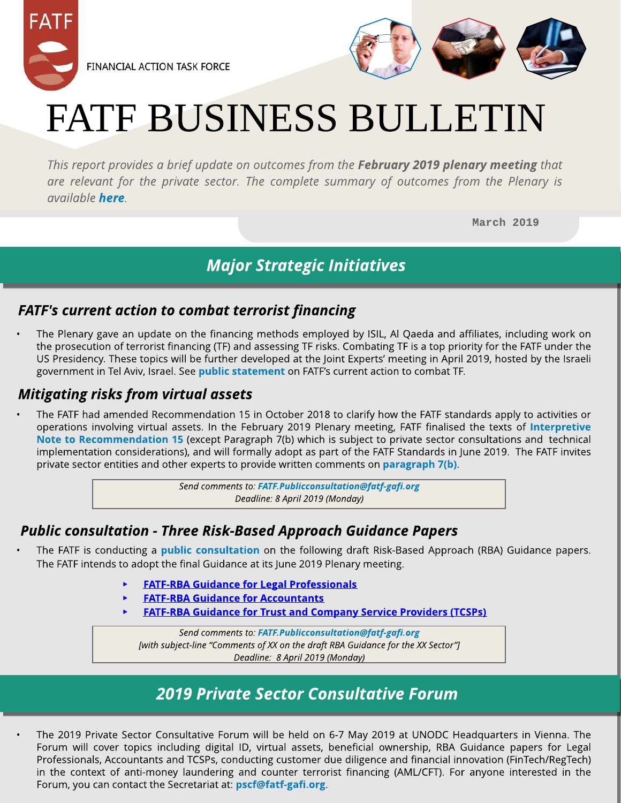



# FATF BUSINESS BULLETIN

**This report provides a brief update on outcomes from the February 2019 plenary meeting that [are](http://www.fatf-gafi.org/publications/methodsandtrends/documents/fatf-action-against-terrorist-financing-feb-2019.html) relevant for the private sector. The complete summary of outcomes from the Plenary is [available](http://www.fatf-gafi.org/publications/methodsandtrends/documents/fatf-action-against-terrorist-financing-feb-2019.html) [here](http://www.fatf-gafi.org/publications/fatfgeneral/documents/outcomes-plenary-february-2019.html).**

March [2019](http://www.fatf-gafi.org/publications/methodsandtrends/documents/fatf-action-against-terrorist-financing-feb-2019.html)

# **Major Strategic Initiatives**

### **FATF's current action to combat terrorist financing**

The Plenary gave an update on the financing methods employed by ISIL, Al Qaeda and affiliates, including work on the prosecution of terrorist financing (TF) and assessing TF risks. Combating TF is a top priority for the FATF under the US Presidency. These topics will be further developed at the Joint Experts?meeting in April 2019, hosted by the Israeli government in Tel Aviv, Israel. See [public](http://www.fatf-gafi.org/publications/methodsandtrends/documents/fatf-action-against-terrorist-financing-feb-2019.html) [statem](http://www.fatf-gafi.org/publications/methodsandtrends/documents/fatf-action-against-terrorist-financing-feb-2019.html)e[nt](http://www.fatf-gafi.org/publications/methodsandtrends/documents/fatf-action-against-terrorist-financing-feb-2019.html) [o](http://www.fatf-gafi.org/publications/methodsandtrends/documents/fatf-action-against-terrorist-financing-feb-2019.html)n FATF's current action to combat TF.

#### **Mitigating risks from virtual assets**

The FATF had amended Recommendation 15 in October 2018 to clarify how the FATF standards apply to activities or operations involving virtual assets. In the February 2019 Plenary meeting, FATF finalised the texts of [Interpretive](http://www.fatf-gafi.org/publications/fatfrecommendations/documents/regulation-virtual-assets-interpretive-note.html) [Note](http://www.fatf-gafi.org/publications/fatfrecommendations/documents/regulation-virtual-assets-interpretive-note.html) [to](http://www.fatf-gafi.org/publications/fatfrecommendations/documents/regulation-virtual-assets-interpretive-note.html) Recomm[endation](http://www.fatf-gafi.org/publications/fatfrecommendations/documents/regulation-virtual-assets-interpretive-note.html) [15](http://www.fatf-gafi.org/publications/fatfrecommendations/documents/regulation-virtual-assets-interpretive-note.html) (except Paragraph 7(b) which is subject to private sector consultations and technical implementation considerations), and will formally adopt as part of the FATF Standards in June 2019. The FATF invites private sector entities and other experts to provide written comments on [paragraph](http://www.fatf-gafi.org/publications/fatfrecommendations/documents/regulation-virtual-assets-interpretive-note.html) [7\(b\)](http://www.fatf-gafi.org/publications/fatfrecommendations/documents/regulation-virtual-assets-interpretive-note.html).

> **Send comments to: [FATF.Publicconsultation@fatf-gafi.org](mailto:FATF.Publicconsultation@fatf-gafi.org) Deadline: 8 April 2019 (Monday)**

### **Public consultation - Three Risk-Based Approach Guidance Papers**

- The FATF is conducting a *[public](http://www.fatf-gafi.org/publications/fatfgeneral/documents/public-consultation-guidance-tcsp.html) [consultation](http://www.fatf-gafi.org/publications/fatfgeneral/documents/public-consultation-guidance-tcsp.html)* on the following draft Risk-Based Approach (RBA) Guidance papers. The FATF intends to adopt the final Guidance at its June 2019 Plenary meeting.
	- **[FATF-RBA](http://www.fatf-gafi.org/media/fatf/FATF-RBA%20Guidance%20for%20Legal%20Professionals.docx) [Guidance](http://www.fatf-gafi.org/media/fatf/FATF-RBA%20Guidance%20for%20Legal%20Professionals.docx) [for](http://www.fatf-gafi.org/media/fatf/FATF-RBA%20Guidance%20for%20Legal%20Professionals.docx) [Legal](http://www.fatf-gafi.org/media/fatf/FATF-RBA%20Guidance%20for%20Legal%20Professionals.docx) [Professionals](http://www.fatf-gafi.org/media/fatf/FATF-RBA%20Guidance%20for%20Legal%20Professionals.docx)**
- High-risk and other mo[nitored](http://www.fatf-gafi.org/media/fatf/FATF-RBA%20Guidance%20for%20Accountants.docx) [FATF-RBA](http://www.fatf-gafi.org/media/fatf/FATF-RBA%20Guidance%20for%20Accountants.docx) Guidance [for](http://www.fatf-gafi.org/media/fatf/FATF-RBA%20Guidance%20for%20Accountants.docx) [Accountant](http://www.fatf-gafi.org/media/fatf/FATF-RBA%20Guidance%20for%20Accountants.docx) s
	- [FATF-RBA](http://www.fatf-gafi.org/media/fatf/FATF-RBA%20Guidance%20for%20TCSPs.docx) [Guidance](http://www.fatf-gafi.org/media/fatf/FATF-RBA%20Guidance%20for%20TCSPs.docx) [for](http://www.fatf-gafi.org/media/fatf/FATF-RBA%20Guidance%20for%20TCSPs.docx) [Trust](http://www.fatf-gafi.org/media/fatf/FATF-RBA%20Guidance%20for%20TCSPs.docx) [and](http://www.fatf-gafi.org/media/fatf/FATF-RBA%20Guidance%20for%20TCSPs.docx) [Co](http://www.fatf-gafi.org/media/fatf/FATF-RBA%20Guidance%20for%20TCSPs.docx)m[pany](http://www.fatf-gafi.org/media/fatf/FATF-RBA%20Guidance%20for%20TCSPs.docx) [Service](http://www.fatf-gafi.org/media/fatf/FATF-RBA%20Guidance%20for%20TCSPs.docx) [Providers](http://www.fatf-gafi.org/media/fatf/FATF-RBA%20Guidance%20for%20TCSPs.docx) [\(TCSPs\)](http://www.fatf-gafi.org/media/fatf/FATF-RBA%20Guidance%20for%20TCSPs.docx)

**Send comments to: [FATF.Publicconsultation@fatf-gafi.org](mailto:FATF.Publicconsultation@fatf-gafi.org) [with subject-line ?Commentsof XXon the draft RBAGuidance for the XXSector?] Deadline: 8 April 2019 (Monday)**

# **2019 Private Sector Consultative Forum**

The 2019 Private Sector Consultative Forum will be held on 6-7 May 2019 at UNODC Headquarters in Vienna. The Forum will cover topics including digital ID, virtual assets, beneficial ownership, RBA Guidance papers for Legal Professionals, Accountants and TCSPs, conducting customer due diligence and financial innovation (FinTech/RegTech) in the context of anti-money laundering and counter terrorist financing (AML/CFT). For anyone interested in the Forum, you can contact the Secretariat at: **[pscf@fatf-gafi.org](mailto:pscf@fatf-gafi.org)**.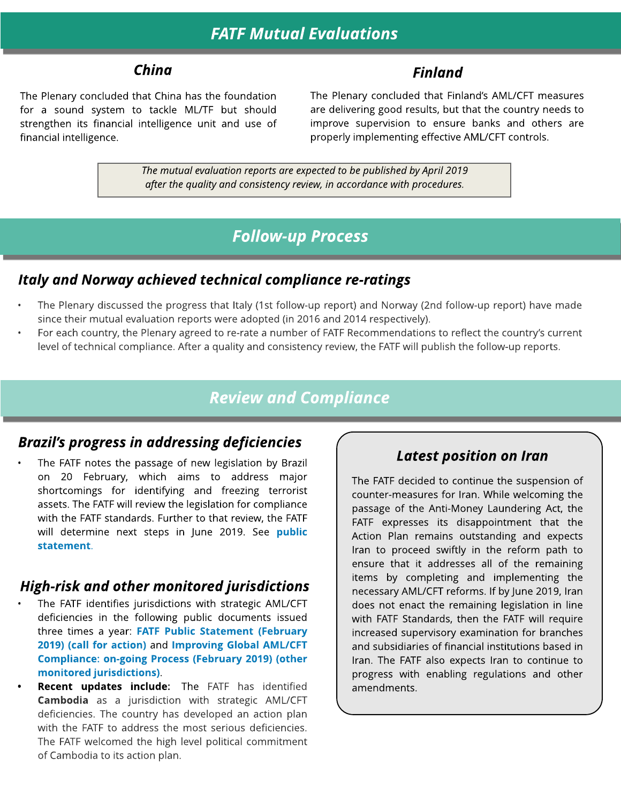# **FATF Mutual Evaluations**

#### **China Finland**

The Plenary concluded that China has the foundation for a sound system to tackle ML/TF but should strengthen its financial intelligence unit and use of financial intelligence.

The Plenary concluded that Finland?s AML/CFT measures are delivering good results, but that the country needs to improve supervision to ensure banks and others are properly implementing effective AML/CFT controls.

**The mutual evaluation reportsareexpected to be published by April 2019 after the qualityand consistencyreview, in accordance with procedures.**

### **Follow-up Process**

#### **Italy and Norway achieved technical compliance re-ratings**

- The Plenary discussed the progress that Italy (1st follow-up report) and Norway (2nd follow-up report) have made since their mutual evaluation reports were adopted (in 2016 and 2014 respectively).
- For each country, the Plenary agreed to re-rate a number of FATF Recommendations to reflect the country's current level of technical compliance. After a quality and consistency review, the FATF will publish the follow-up reports.

#### **Review and Compliance**

#### **Brazil?s progress in addressing deficiencies**

The FATF notes the passage of new legislation by Brazil on 20 February, which aims to address major shortcomings for identifying and freezing terrorist assets. The FATF will review the legislation for compliance with the FATF standards. Further to that review, the FATF will determine next steps in June 2019. See [public](http://www.fatf-gafi.org/publications/methodsandtrends/documents/fatf-statement-brazil-feb-2019.html) [statem](http://www.fatf-gafi.org/publications/methodsandtrends/documents/fatf-statement-brazil-feb-2019.html)ent.

#### **High-risk and other monitored jurisdictions**

- The FATF identifies jurisdictions with strategic AML/CFT deficiencies in the following public documents issued three times a year: [FATF](http://www.fatf-gafi.org/publications/high-riskandnon-cooperativejurisdictions/documents/public-statement-february-2019.html) [Public](http://www.fatf-gafi.org/publications/high-riskandnon-cooperativejurisdictions/documents/public-statement-february-2019.html) [Statem](http://www.fatf-gafi.org/publications/high-riskandnon-cooperativejurisdictions/documents/public-statement-february-2019.html)ent [\(February](http://www.fatf-gafi.org/publications/high-riskandnon-cooperativejurisdictions/documents/public-statement-february-2019.html) [2019\)](http://www.fatf-gafi.org/publications/high-riskandnon-cooperativejurisdictions/documents/public-statement-february-2019.html) [\(call](http://www.fatf-gafi.org/publications/high-riskandnon-cooperativejurisdictions/documents/public-statement-february-2019.html) [for](http://www.fatf-gafi.org/publications/high-riskandnon-cooperativejurisdictions/documents/public-statement-february-2019.html) [action\)](http://www.fatf-gafi.org/publications/high-riskandnon-cooperativejurisdictions/documents/public-statement-february-2019.html) and Im[proving](http://www.fatf-gafi.org/publications/high-riskandnon-cooperativejurisdictions/documents/fatf-compliance-february-2019.html) [Global](http://www.fatf-gafi.org/publications/high-riskandnon-cooperativejurisdictions/documents/fatf-compliance-february-2019.html) [AML/CFT](http://www.fatf-gafi.org/publications/high-riskandnon-cooperativejurisdictions/documents/fatf-compliance-february-2019.html) Com[pliance:](http://www.fatf-gafi.org/publications/high-riskandnon-cooperativejurisdictions/documents/fatf-compliance-february-2019.html) [on-going](http://www.fatf-gafi.org/publications/high-riskandnon-cooperativejurisdictions/documents/fatf-compliance-february-2019.html) [Process](http://www.fatf-gafi.org/publications/high-riskandnon-cooperativejurisdictions/documents/fatf-compliance-february-2019.html) [\(February](http://www.fatf-gafi.org/publications/high-riskandnon-cooperativejurisdictions/documents/fatf-compliance-february-2019.html) [2019\)](http://www.fatf-gafi.org/publications/high-riskandnon-cooperativejurisdictions/documents/fatf-compliance-february-2019.html) [\(other](http://www.fatf-gafi.org/publications/high-riskandnon-cooperativejurisdictions/documents/fatf-compliance-february-2019.html) m[onitored](http://www.fatf-gafi.org/publications/high-riskandnon-cooperativejurisdictions/documents/fatf-compliance-february-2019.html) [jurisdictions\)](http://www.fatf-gafi.org/publications/high-riskandnon-cooperativejurisdictions/documents/fatf-compliance-february-2019.html).
- Recent updates include: The FATF has identified Cambodia as a jurisdiction with strategic AML/CFT deficiencies. The country has developed an action plan with the FATF to address the most serious deficiencies. The FATF welcomed the high level political commitment of Cambodia to its action plan.

#### **Latest position on Iran**

The FATF decided to continue the suspension of counter-measures for Iran. While welcoming the passage of the Anti-Money Laundering Act, the FATF expresses its disappointment that the Action Plan remains outstanding and expects Iran to proceed swiftly in the reform path to ensure that it addresses all of the remaining items by completing and implementing the necessary AML/CFT reforms. If by June 2019, Iran does not enact the remaining legislation in line with FATF Standards, then the FATF will require increased supervisory examination for branches and subsidiaries of financial institutions based in Iran. The FATF also expects Iran to continue to progress with enabling regulations and other amendments.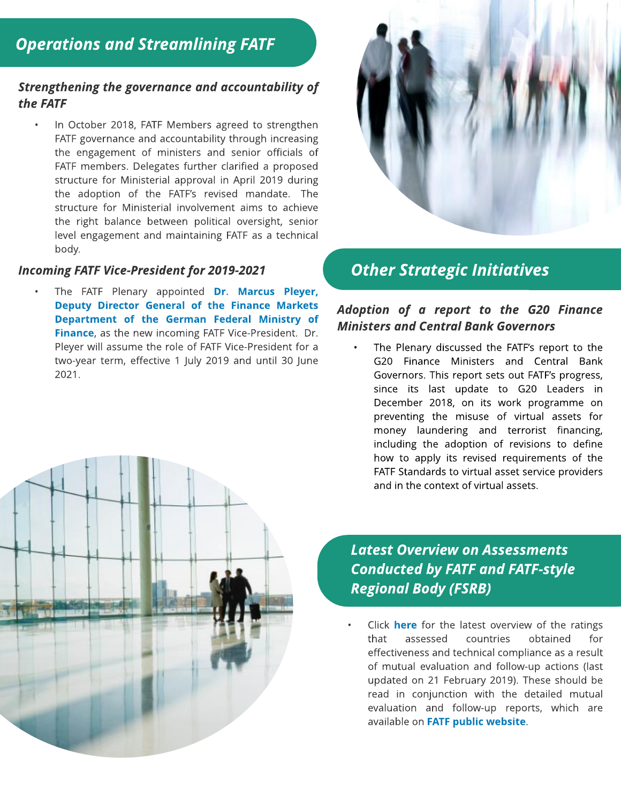#### **Strengthening the governance and accountability of the FATF**

- In October 2018, FATF Members agreed to strengthen FATF governance and accountability through increasing the engagement of ministers and senior officials of FATF members. Delegates further clarified a proposed structure for Ministerial approval in April 2019 during the adoption of the FATF?s revised mandate. The structure for Ministerial involvement aims to achieve the right balance between political oversight, senior level engagement and maintaining FATF as a technical body.

#### **Incoming FATF Vice-President for 2019-2021**

The FATF Plenary appointed Dr. Marcus Pleyer, Deputy Director General of the Finance Markets Department of the German Federal Ministry of Finance, as the new incoming FATF Vice-President. Dr. Pleyer will assume the role of FATF Vice-President for a two-year term, effective 1 July 2019 and until 30 June 2021.



# **Other Strategic Initiatives**

#### **Adoption of a report to the G20 Finance Ministers and Central Bank Governors**

The Plenary discussed the FATF's report to the G20 Finance Ministers and Central Bank Governors. This report sets out FATF?s progress, since its last update to G20 Leaders in December 2018, on its work programme on preventing the misuse of virtual assets for money laundering and terrorist financing, including the adoption of revisions to define how to apply its revised requirements of the FATF Standards to virtual asset service providers and in the context of virtual assets.

**Latest Overview on Assessments Conducted by FATF and FATF-style Regional Body (FSRB)**

Click [here](http://www.fatf-gafi.org/media/fatf/documents/4th-Round-Ratings.pdf) for the latest overview of the ratings that assessed countries obtained for effectiveness and technical compliance as a result of mutual evaluation and follow-up actions (last updated on 21 February 2019). These should be read in conjunction with the detailed mutual evaluation and follow-up reports, which are available on [FATF](http://www.fatf-gafi.org/home/) [public](http://www.fatf-gafi.org/home/) [website](http://www.fatf-gafi.org/home/).